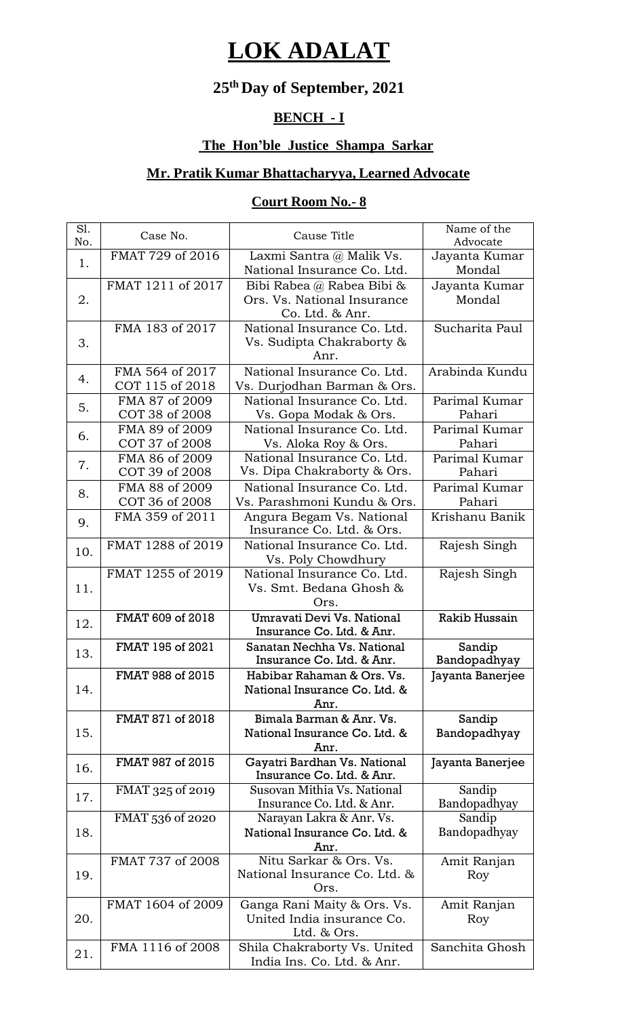# **LOK ADALAT**

#### **25 thDay of September, 2021**

### **BENCH - I**

#### **The Hon'ble Justice Shampa Sarkar**

#### **Mr. Pratik Kumar Bhattacharyya, Learned Advocate**

#### **Court Room No.- 8**

| S1.<br>No. | Case No.                           | Cause Title                                                                 | Name of the<br>Advocate |
|------------|------------------------------------|-----------------------------------------------------------------------------|-------------------------|
| 1.         | FMAT 729 of 2016                   | Laxmi Santra @ Malik Vs.<br>National Insurance Co. Ltd.                     | Jayanta Kumar<br>Mondal |
| 2.         | FMAT 1211 of 2017                  | Bibi Rabea @ Rabea Bibi &<br>Ors. Vs. National Insurance<br>Co. Ltd. & Anr. | Jayanta Kumar<br>Mondal |
| 3.         | FMA 183 of 2017                    | National Insurance Co. Ltd.<br>Vs. Sudipta Chakraborty &<br>Anr.            | Sucharita Paul          |
| 4.         | FMA 564 of 2017<br>COT 115 of 2018 | National Insurance Co. Ltd.<br>Vs. Durjodhan Barman & Ors.                  | Arabinda Kundu          |
| 5.         | FMA 87 of 2009<br>COT 38 of 2008   | National Insurance Co. Ltd.<br>Vs. Gopa Modak & Ors.                        | Parimal Kumar<br>Pahari |
| 6.         | FMA 89 of 2009<br>COT 37 of 2008   | National Insurance Co. Ltd.<br>Vs. Aloka Roy & Ors.                         | Parimal Kumar<br>Pahari |
| 7.         | FMA 86 of 2009<br>COT 39 of 2008   | National Insurance Co. Ltd.<br>Vs. Dipa Chakraborty & Ors.                  | Parimal Kumar<br>Pahari |
| 8.         | FMA 88 of 2009<br>COT 36 of 2008   | National Insurance Co. Ltd.<br>Vs. Parashmoni Kundu & Ors.                  | Parimal Kumar<br>Pahari |
| 9.         | FMA 359 of 2011                    | Angura Begam Vs. National<br>Insurance Co. Ltd. & Ors.                      | Krishanu Banik          |
| 10.        | FMAT 1288 of 2019                  | National Insurance Co. Ltd.<br>Vs. Poly Chowdhury                           | Rajesh Singh            |
| 11.        | FMAT 1255 of 2019                  | National Insurance Co. Ltd.<br>Vs. Smt. Bedana Ghosh &<br>Ors.              | Rajesh Singh            |
| 12.        | FMAT 609 of 2018                   | Umravati Devi Vs. National<br>Insurance Co. Ltd. & Anr.                     | <b>Rakib Hussain</b>    |
| 13.        | FMAT 195 of 2021                   | Sanatan Nechha Vs. National<br>Insurance Co. Ltd. & Anr.                    | Sandip<br>Bandopadhyay  |
| 14.        | FMAT 988 of 2015                   | Habibar Rahaman & Ors. Vs.<br>National Insurance Co. Ltd. &<br>Anr.         | Jayanta Banerjee        |
| 15.        | FMAT 871 of 2018                   | Bimala Barman & Anr. Vs.<br>National Insurance Co. Ltd. &<br>Anr.           | Sandip<br>Bandopadhyay  |
| 16.        | FMAT 987 of 2015                   | Gayatri Bardhan Vs. National<br>Insurance Co. Ltd. & Anr.                   | Jayanta Banerjee        |
| 17.        | FMAT 325 of 2019                   | Susovan Mithia Vs. National<br>Insurance Co. Ltd. & Anr.                    | Sandip<br>Bandopadhyay  |
| 18.        | FMAT 536 of 2020                   | Narayan Lakra & Anr. Vs.<br>National Insurance Co. Ltd. &<br>Anr.           | Sandip<br>Bandopadhyay  |
| 19.        | FMAT 737 of 2008                   | Nitu Sarkar & Ors. Vs.<br>National Insurance Co. Ltd. &<br>Ors.             | Amit Ranjan<br>Roy      |
| 20.        | FMAT 1604 of 2009                  | Ganga Rani Maity & Ors. Vs.<br>United India insurance Co.<br>Ltd. & Ors.    | Amit Ranjan<br>Roy      |
| 21.        | FMA 1116 of 2008                   | Shila Chakraborty Vs. United<br>India Ins. Co. Ltd. & Anr.                  | Sanchita Ghosh          |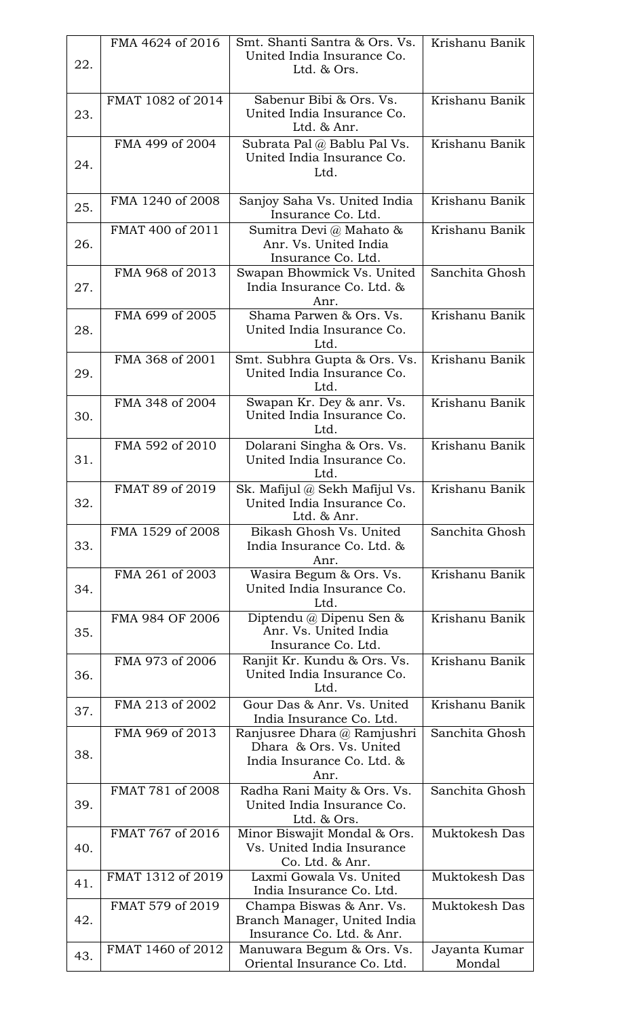|     | FMA 4624 of 2016  | Smt. Shanti Santra & Ors. Vs.                                                                | Krishanu Banik          |
|-----|-------------------|----------------------------------------------------------------------------------------------|-------------------------|
| 22. |                   | United India Insurance Co.<br>Ltd. & Ors.                                                    |                         |
| 23. | FMAT 1082 of 2014 | Sabenur Bibi & Ors. Vs.<br>United India Insurance Co.<br>Ltd. & Anr.                         | Krishanu Banik          |
| 24. | FMA 499 of 2004   | Subrata Pal @ Bablu Pal Vs.<br>United India Insurance Co.<br>Ltd.                            | Krishanu Banik          |
| 25. | FMA 1240 of 2008  | Sanjoy Saha Vs. United India<br>Insurance Co. Ltd.                                           | Krishanu Banik          |
| 26. | FMAT 400 of 2011  | Sumitra Devi @ Mahato &<br>Anr. Vs. United India<br>Insurance Co. Ltd.                       | Krishanu Banik          |
| 27. | FMA 968 of 2013   | Swapan Bhowmick Vs. United<br>India Insurance Co. Ltd. &<br>Anr.                             | Sanchita Ghosh          |
| 28. | FMA 699 of 2005   | Shama Parwen & Ors. Vs.<br>United India Insurance Co.<br>Ltd.                                | Krishanu Banik          |
| 29. | FMA 368 of 2001   | Smt. Subhra Gupta & Ors. Vs.<br>United India Insurance Co.<br>Ltd.                           | Krishanu Banik          |
| 30. | FMA 348 of 2004   | Swapan Kr. Dey & anr. Vs.<br>United India Insurance Co.<br>Ltd.                              | Krishanu Banik          |
| 31. | FMA 592 of 2010   | Dolarani Singha & Ors. Vs.<br>United India Insurance Co.<br>Ltd.                             | Krishanu Banik          |
| 32. | FMAT 89 of 2019   | Sk. Mafijul @ Sekh Mafijul Vs.<br>United India Insurance Co.<br>Ltd. & Anr.                  | Krishanu Banik          |
| 33. | FMA 1529 of 2008  | Bikash Ghosh Vs. United<br>India Insurance Co. Ltd. &<br>Anr.                                | Sanchita Ghosh          |
| 34. | FMA 261 of 2003   | Wasira Begum & Ors. Vs.<br>United India Insurance Co.<br>Ltd.                                | Krishanu Banik          |
| 35. | FMA 984 OF 2006   | Diptendu @ Dipenu Sen &<br>Anr. Vs. United India<br>Insurance Co. Ltd.                       | Krishanu Banik          |
| 36. | FMA 973 of 2006   | Ranjit Kr. Kundu & Ors. Vs.<br>United India Insurance Co.<br>Ltd.                            | Krishanu Banik          |
| 37. | FMA 213 of 2002   | Gour Das & Anr. Vs. United<br>India Insurance Co. Ltd.                                       | Krishanu Banik          |
| 38. | FMA 969 of 2013   | Ranjusree Dhara @ Ramjushri<br>Dhara & Ors. Vs. United<br>India Insurance Co. Ltd. &<br>Anr. | Sanchita Ghosh          |
| 39. | FMAT 781 of 2008  | Radha Rani Maity & Ors. Vs.<br>United India Insurance Co.<br>Ltd. & Ors.                     | Sanchita Ghosh          |
| 40. | FMAT 767 of 2016  | Minor Biswajit Mondal & Ors.<br>Vs. United India Insurance<br>Co. Ltd. & Anr.                | Muktokesh Das           |
| 41. | FMAT 1312 of 2019 | Laxmi Gowala Vs. United<br>India Insurance Co. Ltd.                                          | Muktokesh Das           |
| 42. | FMAT 579 of 2019  | Champa Biswas & Anr. Vs.<br>Branch Manager, United India<br>Insurance Co. Ltd. & Anr.        | Muktokesh Das           |
| 43. | FMAT 1460 of 2012 | Manuwara Begum & Ors. Vs.<br>Oriental Insurance Co. Ltd.                                     | Jayanta Kumar<br>Mondal |